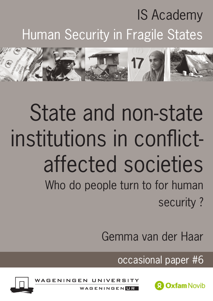# IS Academy Human Security in Fragile States



# State and non-state institutions in conflictaffected societies Who do people turn to for human security ?

Gemma van der Haar

occasional paper #6



VAGEN



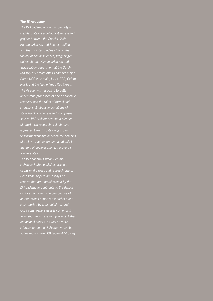#### *The IS Academy*

*The IS Academy on Human Security in Fragile States is a collaborative research project between the Special Chair Humanitarian Aid and Reconstruction and the Disaster Studies chair at the faculty of social sciences, Wageningen University, the Humanitarian Aid and Stabilisation Department at the Dutch Ministry of Foreign Affairs and five major Dutch NGOs: Cordaid, ICCO, ZOA, Oxfam Novib and the Netherlands Red Cross. The Academy's mission is to better understand processes of socio-economic recovery and the roles of formal and state fragility. The research comprises several PhD trajectories and a number of short-term research projects, and is geared towards catalyzing crossfertilizing exchange between the domains of policy, practitioners and academia in the field of socio-economic recovery in fragile states.*

*The IS Academy Human Security in Fragile States publishes articles, occasional papers and research briefs. Occasional papers are essays or reports that are commissioned by the IS Academy to contribute to the debate on a certain topic. The perspective of an occasional paper is the author's and is supported by substantial research. Occasional papers usually come forth from short-term research projects. Other occasional papers, as well as more information on the IS Academy, can be accessed via www. ISAcademyHSFS.org.*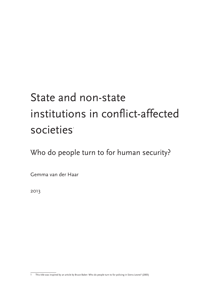# State and non-state institutions in conflict-affected societies<sup>®</sup>

Who do people turn to for human security?

Gemma van der Haar

2013

<sup>1</sup> This title was inspired by an article by Bruce Baker: Who do people turn to for policing in Sierra Leone? (2005)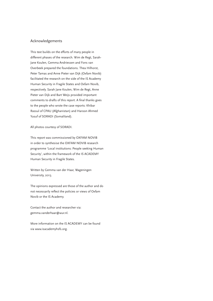#### Acknowledgements

This text builds on the efforts of many people in different phases of the research. Wim de Regt, Sarah-Jane Koulen, Gemma Andriessen and Fons van Overbeek prepared the foundations. Thea Hilhorst, Peter Tamas and Anne Pieter van Dijk (Oxfam Novib) facilitated the research on the side of the IS Academy Human Security in Fragile States and Oxfam Novib, respectively. Sarah Jane Koulen, Wim de Regt, Anne Pieter van Dijk and Bart Weijs provided important comments to drafts of this report. A final thanks goes to the people who wrote the case reports: Khibar Rassul of CPAU (Afghanistan) and Haroon Ahmed Yusuf of SORADI (Somaliland).

All photos courtesy of SORADI.

This report was commissioned by OXFAM NOVIB in order to synthesise the OXFAM NOVIB research programme 'Local institutions: People seeking Human Security', within the framework of the IS ACADEMY Human Security in Fragile States.

Written by Gemma van der Haar, Wageningen University, 2013.

The opinions expressed are those of the author and do not necessarily reflect the policies or views of Oxfam Novib or the IS Academy.

Contact the author and researcher via: gemma.vanderhaar@wur.nl.

More information on the IS ACADEMY can be found via www.isacademyhsfs.org.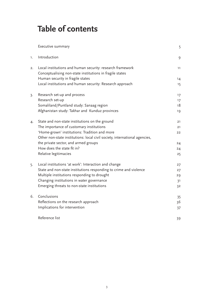# **Table of contents**

|    | Executive summary                                                                                                     | 5              |
|----|-----------------------------------------------------------------------------------------------------------------------|----------------|
| 1. | Introduction                                                                                                          | 9              |
| 2. | Local institutions and human security: research framework<br>Conceptualising non-state institutions in fragile states | 11             |
|    | Human security in fragile states                                                                                      | 14             |
|    | Local institutions and human security: Research approach                                                              | 15             |
| 3. | Research set-up and process                                                                                           | 17             |
|    | Research set-up                                                                                                       | 17             |
|    | Somaliland/Puntland study: Sanaag region                                                                              | 18             |
|    | Afghanistan study: Takhar and Kunduz provinces                                                                        | 19             |
| 4. | State and non-state institutions on the ground                                                                        | 21             |
|    | The importance of customary institutions                                                                              | 21             |
|    | 'Home-grown' institutions: Tradition and more                                                                         | 22             |
|    | Other non-state institutions: local civil society, international agencies,                                            |                |
|    | the private sector, and armed groups                                                                                  | 24             |
|    | How does the state fit in?                                                                                            | 24             |
|    | Relative legitimacies                                                                                                 | 25             |
| 5. | Local institutions 'at work': Interaction and change                                                                  | 27             |
|    | State and non-state institutions responding to crime and violence                                                     | 27             |
|    | Multiple institutions responding to drought                                                                           | 29             |
|    | Changing institutions in water governance                                                                             | 3 <sup>1</sup> |
|    | Emerging threats to non-state institutions                                                                            | 32             |
| 6. | Conclusions                                                                                                           | 35             |
|    | Reflections on the research approach                                                                                  | 36             |
|    | Implications for intervention                                                                                         | 37             |
|    | Reference list                                                                                                        | 39             |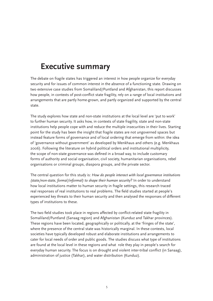# **Executive summary**

The debate on fragile states has triggered an interest in how people organize for everyday security and for issues of common interest in the absence of a functioning state. Drawing on two extensive case studies from Somaliland/Puntland and Afghanistan, this report discusses how people, in contexts of post-conflict state fragility, rely on a range of local institutions and arrangements that are partly home-grown, and partly organized and supported by the central state.

The study explores how state and non-state institutions at the local level are 'put to work' to further human security. It asks how, in contexts of state fragility, state and non-state institutions help people cope with and reduce the multiple insecurities in their lives. Starting point for the study has been the insight that fragile states are not ungoverned spaces but instead feature forms of governance and of local ordering that emerge from within: the idea of 'governance without government' as developed by Menkhaus and others (e.g. Menkhaus 2006). Following the literature on hybrid political orders and institutional multiplicity, the scope of non-state governance was defined in a broad way, to include customary forms of authority and social organisation, civil society, humanitarian organisations, rebel organisations or criminal groups, diaspora groups, and the private sector.

The central question for this study is: *How do people interact with local governance institutions (state/non-state, formal/informal) to shape their human security?* In order to understand how local institutions matter to human security in fragile settings, this research traced real responses of real institutions to real problems. The field studies started at people's experienced key threats to their human security and then analysed the responses of different types of institutions to these.

The two field studies took place in regions affected by conflict-related state fragility in Somaliland/Puntland (Sanaag region) and Afghanistan (Kunduz and Takhar provinces). These regions have been located, geographically or politically, at the 'fringes of the state', where the presence of the central state was historically marginal. In these contexts, local societies have typically developed robust and elaborate institutions and arrangements to cater for local needs of order and public goods. The studies discuss what type of institutions are found at the local level in these regions and what role they play in people's search for everyday human security. The focus is on drought and violent inter-tribal conflict (in Sanaag), administration of justice (Takhar), and water distribution (Kunduz).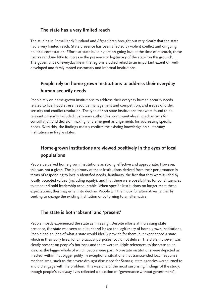# **The state has a very limited reach**

The studies in Somaliland/Puntland and Afghanistan brought out very clearly that the state had a very limited reach. State presence has been affected by violent conflict and on-going political contestation. Efforts at state building are on-going but, at the time of research, these had as yet done little to increase the presence or legitimacy of the state 'on the ground'. The governance of everyday life in the regions studied relied to an important extent on welldeveloped and firmly rooted customary and informal institutions.

# **People rely on home-grown institutions to address their everyday human security needs**

People rely on home-grown institutions to address their everyday human security needs related to livelihood stress, resource management and competition, and issues of order, security and conflict resolution. The type of non-state institutions that were found to be relevant primarily included customary authorities, community-level mechanisms for consultation and decision making, and emergent arrangements for addressing specific needs. With this, the findings mostly confirm the existing knowledge on customary institutions in fragile states.

# **Home-grown institutions are viewed positively in the eyes of local populations**

People perceived home-grown institutions as strong, effective and appropriate. However, this was not a given. The legitimacy of these institutions derived from their performance in terms of responding to locally identified needs, familiarity, the fact that they were guided by locally accepted values (including equity), and that there were possibilities for constituencies to steer and hold leadership accountable. When specific institutions no longer meet these expectations, they may enter into decline. People will then look for alternatives, either by seeking to change the existing institution or by turning to an alternative.

# **The state is both 'absent' and 'present'**

People mostly experienced the state as 'missing'. Despite efforts at increasing state presence, the state was seen as distant and lacked the legitimacy of home-grown institutions. People had an idea of what a state would ideally provide for them, but experienced a state which in their daily lives, for all practical purposes, could not deliver. The state, however, was clearly present on people's horizons and there were multiple references to the state as an idea, as the bigger whole of which people were part. Non-state institutions were depicted as 'nested' within that bigger polity. In exceptional situations that transcended local response mechanisms, such as the severe drought discussed for Sanaag, state agencies were turned to and did engage with the problem. This was one of the most surprising findings of the study: though people's everyday lives reflected a situation of "governance without government",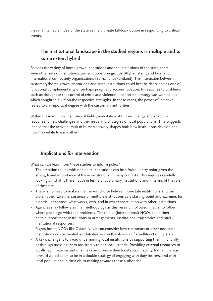they maintained an idea of the state as the ultimate fall-back option in responding to critical events.

# **The institutional landscape in the studied regions is multiple and to some extent hybrid**

Besides the variety of home-grown institutions and the institutions of the state, there were other sets of institutions: armed opposition groups (Afghanistan); and local and international civil society organisations (Somaliland/Puntland). The interaction between customary/home-grown institutions and state institutions could best be described as one of functional complementarity or perhaps pragmatic accommodation. In response to problems such as drought or the control of crime and violence, a concerted strategy was worked out which sought to build on the respective strengths. In these cases, the power of initiative rested to an important degree with the customary authorities.

Within these multiple institutional fields, non-state institutions change and adapt, in response to new challenges and the needs and strategies of local populations. This suggests indeed that the active pursuit of human security shapes both how institutions develop and how they relate to each other.

# **Implications for intervention**

What can we learn from these studies to inform policy?

- The ambition to link with non-state institutions can be a fruitful entry point given the strength and importance of these institutions in many contexts. This requires carefully looking at 'what is there', both in terms of customary institutions and in terms of the role of the state.
- There is no need to make an 'either-or' choice between non-state institutions and the state: rather, take the existence of multiple institutions as a starting point and examine, for a particular context, what works, who, and in what constellation with other institutions.
- Agencies may follow a similar methodology as this research followed: that is, to follow where people go with their problems. The role of (international) NGOs could then be to support these institutions or arrangements, institutional trajectories and multiinstitutional responses.
- Rights-based NGOs like Oxfam Novib can consider how customary or other non-state institutions can be treated as 'duty-bearers' in the absence of a well-functioning state.
- A key challenge is to avoid undermining local institutions by supporting them financially or through molding them too strictly to non-local criteria. Providing external resources to locally legitimate institutions may compromise their local accountability. Rather, the way forward would seem to be in a double strategy of engaging with duty bearers, and with local populations in their claim-making towards these authorities.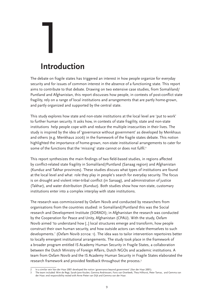# 1 **Introduction**

The debate on fragile states has triggered an interest in how people organize for everyday security and for issues of common interest in the absence of a functioning state. This report aims to contribute to that debate. Drawing on two extensive case studies, from Somaliland/ Puntland and Afghanistan, this report discusses how people, in contexts of post-conflict state fragility, rely on a range of local institutions and arrangements that are partly home-grown, and partly organized and supported by the central state.

This study explores how state and non-state institutions at the local level are 'put to work' to further human security. It asks how, in contexts of state fragility, state and non-state institutions help people cope with and reduce the multiple insecurities in their lives. The study is inspired by the idea of 'governance without government' as developed by Menkhaus and others (e.g. Menkhaus 2006) in the framework of the fragile states debate. This notion highlighted the importance of home-grown, non-state institutional arrangements to cater for some of the functions that the 'missing' state cannot or does not fulfil.<sup>2</sup>

This report synthesizes the main findings of two field-based studies, in regions affected by conflict-related state fragility in Somaliland/Puntland (Sanaag region) and Afghanistan (Kunduz and Takhar provinces). These studies discuss what types of institutions are found at the local level and what role they play in people's search for everyday security. The focus is on drought and violent inter-tribal conflict (in Sanaag), and administration of justice (Takhar), and water distribution (Kunduz). Both studies show how non-state, customary institutions enter into a complex interplay with state institutions.

The research was commissioned by Oxfam Novib and conducted by researchers from organisations from the countries studied: in Somaliland/Puntland this was the Social research and Development Institute (SORADI); in Afghanistan the research was conducted by the Cooperation for Peace and Unity, Afghanistan (CPAU). With the study, Oxfam Novib aimed 'to understand how [..] local structures emerge and transform, how people construct their own human security, and how outside actors can relate themselves to such developments.' (Oxfam Novib 2010a: 1). The idea was to tailor intervention repertoires better to locally emergent institutional arrangements. The study took place in the framework of a broader program entitled IS Academy Human Security in Fragile States, a collaboration between the Dutch Ministry of Foreign Affairs, Dutch NGOs and academic institutions. A team from Oxfam Novib and the IS Academy Human Security in Fragile States elaborated the research framework and provided feedback throughout the process.<sup>3</sup>

<sup>2</sup> In a similar vein Van der Haar 2001 developed the notion 'governance beyond government' (Van der Haar 2001).

<sup>3</sup> The team included: Wim de Regt, Sarah-Jane Koulen, Gemma Andriessen, Fons van Overbeek, Thea Hilhorst, Peter Tamas, and Gemma van der Haar; end responsibility rested with Anne Pieter van Dijk and Gemma van der Haar.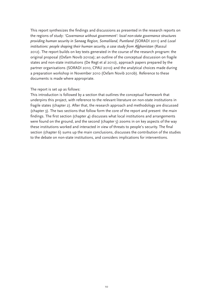This report synthesizes the findings and discussions as presented in the research reports on the regions of study: *'Governance without government': local non-state governance structures providing human security in Sanaag Region, Somaliland, Puntland* (SORADI 2011) and *Local institutions: people shaping their human security, a case study from Afghanistan* (Rassul 2012). The report builds on key texts generated in the course of the research program: the original proposal (Oxfam Novib 2010a); an outline of the conceptual discussion on fragile states and non-state institutions (De Regt et al 2010), approach papers prepared by the partner organisations (SORADI 2010, CPAU 2010) and the analytical choices made during a preparation workshop in November 2010 (Oxfam Novib 2010b). Reference to these documents is made where appropriate.

#### The report is set up as follows:

This introduction is followed by a section that outlines the conceptual framework that underpins this project, with reference to the relevant literature on non-state institutions in fragile states (chapter 2). After that, the research approach and methodology are discussed (chapter 3). The two sections that follow form the core of the report and present the main findings. The first section (chapter  $\Delta$ ) discusses what local institutions and arrangements were found on the ground, and the second (chapter 5) zooms in on key aspects of the way these institutions worked and interacted in view of threats to people's security. The final section (chapter 6) sums up the main conclusions, discusses the contribution of the studies to the debate on non-state institutions, and considers implications for interventions.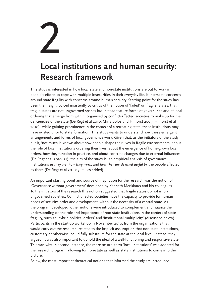# 2

# **Local institutions and human security: Research framework**

This study is interested in how local state and non-state institutions are put to work in people's efforts to cope with multiple insecurities in their everyday life. It intersects concerns around state fragility with concerns around human security. Starting point for the study has been the insight, voiced insistently by critics of the notion of 'failed' or 'fragile' states, that fragile states are not ungoverned spaces but instead feature forms of governance and of local ordering that emerge from within, organised by conflict-affected societies to make up for the deficiencies of the state (De Regt et al 2010; Christoplos and Hilhorst 2009; Hilhorst et al 2010). While gaining prominence in the context of a retreating state, these institutions may have existed prior to state formation. This study wants to understand how these emergent arrangements and forms of local governance work. Given that, as the initiators of the study put it, 'not much is known about how people shape their lives in fragile environments, about the role of local institutions ordering their lives, about the emergence of home-grown local orders, how they function in practice, and about concrete changes due to external influences' (De Regt et al 2010: 21), the aim of the study is 'an empirical analysis of governance institutions *as they are*, *how they work*, and *how they are deemed useful* by the people affected by them'(De Regt et al 2010: 3, italics added).

An important starting point and source of inspiration for the research was the notion of 'Governance without government' developed by Kenneth Menkhaus and his colleagues. To the initiators of the research this notion suggested that fragile states do not imply ungoverned societies. Conflict-affected societies have the capacity to provide for human needs of security, order and development, without the necessity of a central state. As the program developed, other notions were introduced to complement and nuance the understanding on the role and importance of non-state institutions in the context of state fragility, such as 'hybrid political orders' and 'institutional multiplicity' (discussed below). Participants in the start-up workshop in November 2010, from the organisations that would carry out the research, reacted to the implicit assumption that non-state institutions, customary or otherwise, could fully substitute for the state at the local level. Instead, they argued, it was also important to uphold the ideal of a well-functioning and responsive state. This was why, in second instance, the more neutral term 'local institutions' was adopted for the research program, allowing for non-state as well as state institutions to come into the picture.

Below, the most important theoretical notions that informed the study are introduced.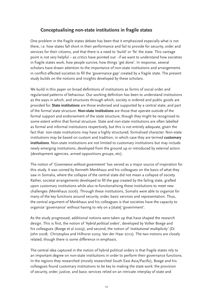# **Conceptualising non-state institutions in fragile states**

One problem in the fragile states debate has been that it emphasized especially what is not there, i.e. how states fall short in their performance and fail to provide for security, order and services for their citizens, and that there is a need to 'build' or 'fix' the state. This vantage point is not very helpful – as critics have pointed out - if we want to understand how societies in fragile states work, how people survive, how things 'get done'. In response, several scholars have drawn attention to the importance of non-state institutions and arrangements in conflict-affected societies to fill the 'governance gap' created by a fragile state. The present study builds on the notions and insights developed by these scholars.

We build in this paper on broad definitions of institutions as forms of social order and regularised patterns of behaviour. Our working definition has been to understand institutions as the ways in which, and structures through which, society is ordered and public goods are provided for. **State institutions** are those endorsed and supported by a central state, and part of the formal state structure. **Non-state institutions** are those that operate outside of the formal support and endorsement of the state structure, though they might be recognised to some extent within that formal structure. State and non-state institutions are often labelled as formal and informal institutions respectively, but this is not entirely adequate, given the fact that non-state institutions may have a highly structured, formalised character. Non-state institutions may be based on custom and tradition, in which case they are termed **customary institutions**. Non-state institutions are not limited to customary institutions but may include newly emerging institutions, developed from the ground up or introduced by external actors (development agencies, armed oppositions groups, etc).

The notion of *'Governance without government'* has served as a major source of inspiration for this study. It was coined by Kenneth Menkhaus and his colleagues on the basis of what they saw in Somalia, where the collapse of the central state did not mean a collapse of society. Rather, societal arrangements developed to fill the gap created by the failing state, grafted upon customary institutions while also re-functionalising these institutions to meet new challenges (Menkhaus 2006). Through these institutions, Somalis were able to organize for many of the key functions around security, order, basic services and representation. Thus, the central argument of Menkhaus and his colleagues is that societies have the capacity to organize 'governance' without having to rely on a [state] 'government'.

As the study progressed, additional notions were taken up that have shaped the research design. This is first, the notion of *'hybrid political orders'*, developed by Volker Boege and his colleagues (Boege et al 2009), and second, the notion of *'institutional multiplicity'* (Di John 2008; Christoplos and Hilhorst 2009; Van der Haar 2012). The two notions are closely related, though there is some difference in emphasis.

The central idea captured in the notion of hybrid political orders is that fragile states rely to an important degree on non-state institutions in order to perform their governance functions. In the regions they researched (mostly researched South East Asia/Pacific), Boege and his colleagues found customary institutions to be key to making the state work: the provision of security, order, justice, and basic services relied on an intricate interplay of state and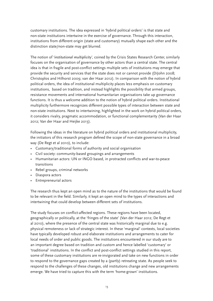customary institutions. The idea expressed in 'hybrid political orders' is that state and non-state institutions intertwine in the exercise of governance. Through this interaction, institutions from different origin (state and customary) mutually shape each other and the distinction state/non-state may get blurred.

The notion of *'institutional multiplicity',* coined by the Crisis States Research Center, similarly focuses on the organisation of governance by other actors than a central state. The central idea is that in fragile and post-conflict settings multiple sets of institutions may emerge that provide the security and services that the state does not or cannot provide (DiJohn 2008; Christoplos and Hilhorst 2009; van der Haar 2012). In comparison with the notion of hybrid political orders, the idea of institutional multiplicity places less emphasis on customary institutions, based on tradition, and instead highlights the possibility that armed groups, resistance movements and international humanitarian organisations take up governance functions. It is thus a welcome addition to the notion of hybrid political orders. Institutional multiplicity furthermore recognizes different possible types of interaction between state and non-state institutions. Next to intertwining, highlighted in the work on hybrid political orders, it considers rivalry, pragmatic accommodation, or functional complementarity (Van der Haar 2012; Van der Haar and Heijke 2013).

Following the ideas in the literature on hybrid political orders and institutional multiplicity, the initiators of this research program defined the scope of non-state governance in a broad way (De Regt et al 2010), to include:

- • Customary/traditional forms of authority and social organisation
- • Civil society: community-based groupings and arrangements
- Humanitarian actors: UN or INGO based, in protracted conflicts and war-to-peace transitions
- • Rebel groups, criminal networks
- • Diaspora actors
- Entrepreneurial actors

The research thus kept an open mind as to the nature of the institutions that would be found to be relevant in the field. Similarly, it kept an open mind to the types of interactions and intertwining that could develop between different sets of institutions.

The study focuses on conflict-affected regions. These regions have been located, geographically or politically, at the 'fringes of the state' (Van der Haar 2012; De Regt et al 2010), where the presence of the central state was historically marginal due to e.g. physical remoteness or lack of strategic interest. In these 'marginal' contexts, local societies have typically developed robust and elaborate institutions and arrangements to cater for local needs of order and public goods. The institutions encountered in our study are to an important degree based on tradition and custom and hence labelled 'customary' or 'traditional' institutions. In the conflict and post-conflict settings studied in this report, some of these customary institutions are re-invigorated and take on new functions in order to respond to the governance gaps created by a (partly) retreating state. As people seek to respond to the challenges of these changes, old institutions change and new arrangements emerge. We have tried to capture this with the term 'home-grown' institutions.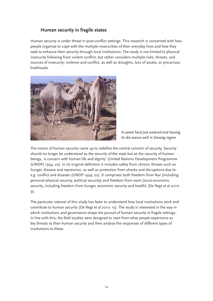# **Human security in fragile states**

Human security is under threat in post-conflict settings. This research is concerned with how people organize to cope with the multiple insecurities of their everyday lives and how they seek to enhance their security through local institutions. The study is not limited to physical insecurity following from violent conflict, but rather considers multiple risks, threats, and sources of insecurity: violence and conflict, as well as droughts, loss of assets, or precarious livelihoods.



*A camel herd just watered and leaving its dry season well in Sanaag region.*

The notion of human security came up to redefine the central concern of security. Security should no longer be understood as the security of the state but as the security of human beings, 'a concern with human life and dignity' (United Nations Development Programme (UNDP) 1994: 22). In its original definition it includes safety from chronic threats such as hunger, disease and repression, as well as protection from shocks and disruptions due to e.g. conflict and disaster (UNDP 1994: 22). It comprises both freedom from fear (including personal physical security, political security) and freedom from want (socio-economic security, including freedom from hunger, economic security and health) (De Regt et al 2010: 9).

The particular interest of this study has been to understand how local institutions work and contribute to human security (De Regt et al 2010: 13). The study is interested in the way in which institutions and governance shape the pursuit of human security in fragile settings. In line with this, the field studies were designed to start from what people experience as key threats to their human security and then analyse the responses of different types of institutions to these.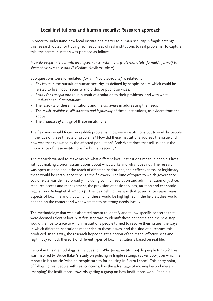# **Local institutions and human security: Research approach**

In order to understand how local institutions matter to human security in fragile settings, this research opted for tracing real responses of real institutions to real problems. To capture this, the central question was phrased as follows:

*How do people interact with local governance institutions (state/non-state, formal/informal) to shape their human security?* (Oxfam Novib 2010b: 2)

Sub questions were formulated (Oxfam Novib 2010b: 2/3), related to:

- *• Key issues* in the pursuit of human security, as defined by people locally, which could be related to livelihood, security and order, or public services;
- *• Institutions people turn to* in pursuit of a solution to their problems, and with what *motivations and expectations*
- • The *response* of these institutions and the *outcomes* in addressing the needs
- • The *reach, usefulness, effectiveness and legitimacy* of these institutions, as evident from the above
- • The *dynamics of change* of these institutions

The fieldwork would focus on real-life problems: How were institutions put to work by people in the face of these threats or problems? How did these institutions address the issue and how was that evaluated by the affected population? And: What does that tell us about the importance of these institutions for human security?

The research wanted to make visible what different local institutions mean in people's lives without making a priori assumptions about what works and what does not. The research was open-minded about the reach of different institutions, their effectiveness, or legitimacy; these would be established through the fieldwork. The kind of topics to which governance could relate was defined broadly, including conflict resolution and administration of justice, resource access and management, the provision of basic services, taxation and economic regulation (De Regt et al 2010: 24). The idea behind this was that governance spans many aspects of local life and that which of these would be highlighted in the field studies would depend on the context and what were felt to be strong needs locally.

The methodology that was elaborated meant to identify and follow specific concerns that were deemed relevant locally. A first step was to identify these concerns and the next step would then be to trace to which institutions people turned to resolve their issues, the ways in which different institutions responded to these issues, and the kind of outcomes this produced. In this way, the research hoped to get a notion of the reach, effectiveness and legitimacy (or lack thereof) of different types of local institutions based on real life.

Central in this methodology is the question: Who [what institution] do people turn to? This was inspired by Bruce Baker's study on policing in fragile settings (Baker 2005), on which he reports in his article 'Who do people turn to for policing in Sierra Leone'. This entry point, of following real people with real concerns, has the advantage of moving beyond merely 'mapping' the institutions, towards getting a grasp on how institutions work. People's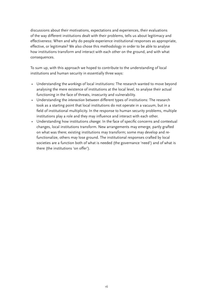discussions about their motivations, expectations and experiences, their evaluations of the way different institutions dealt with their problems, tells us about legitimacy and effectiveness: When and why do people experience institutional responses as appropriate, effective, or legitimate? We also chose this methodology in order to be able to analyse how institutions transform and interact with each other on the ground, and with what consequences.

To sum up, with this approach we hoped to contribute to the understanding of local institutions and human security in essentially three ways:

- • Understanding the *workings* of local institutions: The research wanted to move beyond analysing the mere existence of institutions at the local level, to analyse their actual functioning in the face of threats, insecurity and vulnerability.
- • Understanding the *interaction* between different types of institutions: The research took as a starting point that local institutions do not operate in a vacuum, but in a field of institutional multiplicity. In the response to human security problems, multiple institutions play a role and they may influence and interact with each other.
- • Understanding how institutions *change*: In the face of specific concerns and contextual changes, local institutions transform. New arrangements may emerge, partly grafted on what was there; existing institutions may transform; some may develop and refunctionalize, others may lose ground. The institutional responses crafted by local societies are a function both of what is needed (the governance 'need') and of what is there (the institutions 'on offer').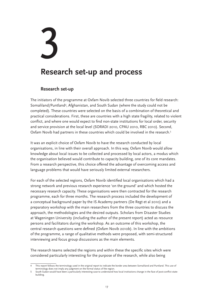# 3

# **Research set-up and process**

### **Research set-up**

The initiators of the programme at Oxfam Novib selected three countries for field research: Somaliland/Puntland<sup>4</sup>, Afghanistan, and South Sudan (where the study could not be completed). These countries were selected on the basis of a combination of theoretical and practical considerations. First, these are countries with a high state fragility, related to violent conflict, and where one would expect to find non-state institutions for local order, security and service provision at the local level (SORADI 2010, CPAU 2010, RBC 2010). Second, Oxfam Novib had partners in these countries which could be involved in the research.<sup>5</sup>

It was an explicit choice of Oxfam Novib to have the research conducted by local organisations, in line with their overall approach. In this way, Oxfam Novib would allow knowledge about local issues to be collected and processed by local actors, a modus which the organisation believed would contribute to capacity building, one of its core mandates. From a research perspective, this choice offered the advantage of overcoming access and language problems that would have seriously limited external researchers.

For each of the selected regions, Oxfam Novib identified local organisations which had a strong network and previous research experience 'on the ground' and which hosted the necessary research capacity. These organisations were then contracted for the research programme, each for three months. The research process included the development of a conceptual background paper by the IS Academy partners (De Regt et al 2010) and a preparatory workshop with the main researchers from the three countries to discuss the approach, the methodologies and the desired outputs. Scholars from Disaster Studies at Wageningen University (including the author of the present report) acted as resource persons and facilitators during the workshop. As an outcome of this workshop, the central research questions were defined (Oxfam Novib 2010b). In line with the ambitions of the programme, a range of qualitative methods were proposed, with semi-structured interviewing and focus group discussions as the main elements.

The research teams selected the regions and within these the specific sites which were considered particularly interesting for the purpose of the research, while also being

<sup>4</sup> This report follows the terminology used in the original report to indicate the border area between Somaliland and Puntland. This use of terminology does not imply any judgment on the formal status of the region.

<sup>5</sup> South Sudan would have been a particularly interesting case to understand how local institutions change in the face of post-conflict statebuilding.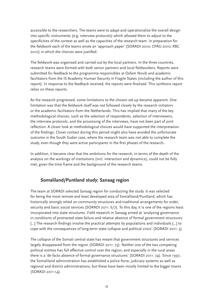accessible to the researchers. The teams were to adapt and operationalize the overall design into specific instruments (e.g. interview protocols) which allowed them to adjust to the specificities of the context as well as the capacities of the research team. In preparation for the fieldwork each of the teams wrote an 'approach paper' (SORADI 2010; CPAU 2010; RBC 2010) in which the choices were justified.

The fieldwork was organised and carried out by the local partners. In the three countries, research teams were formed with both senior partners and local fieldworkers. Reports were submitted for feedback to the programme responsibles at Oxfam Novib and academic facilitators from the IS Academy Human Security in Fragile States (including the author of this report). In response to the feedback received, the reports were finalised. This synthesis report relies on these reports.

As the research progressed, some limitations to the chosen set-up became apparent. One limitation was that the fieldwork itself was not followed closely by the research initiators or the academic facilitators from the Netherlands. This has implied that many of the key methodological choices, such as the selection of respondents, selection of interviewers, the interview protocols, and the processing of the interviews, have not been part of joint reflection. A closer look at methodological choices would have supported the interpretation of the findings. Closer contact during this period might also have avoided the unfortunate outcome in the South Sudan case, where the research team was not able to complete the study, even though they were active participants in the first phases of the research..

In addition, it became clear that the ambitions for the research, in terms of the depth of the analysis on the workings of institutions (incl. interaction and dynamics), could not be fully met, given the time frame and the background of the research teams.

# **Somaliland/Puntland study: Sanaag region**

The team at SORADI selected Sanaag region for conducting the study. It was selected for being the most remote and least developed area of Somaliland/Puntland, which has historically strongly relied on community structures and traditional arrangements for order, security and basic social services (SORADI 2011: 6/7). To this day, it is one of the regions least incorporated into state structures. Field research in Sanaag aimed at 'analyzing governance in conditions of protracted state failure and relative absence of formal government structures. [...] The research findings involve the practical attempts by populations and individuals […] to cope with the consequences of long-term state collapse and political crisis' (SORADI 2011: 3).

The collapse of the Somali central state has meant that government structures and services largely disappeared from the region (SORADI 2011: 73). Neither one of the two competing political entities has full effective control over the region, and especially in the rural areas there is a 'de facto absence of formal governance structures' (SORADI 2011: 74). Since 1997, the Somaliland administration has established a police force, judiciary systems as well as regional and district administrations, but these have been mostly limited to the bigger towns (SORADI 2011:14).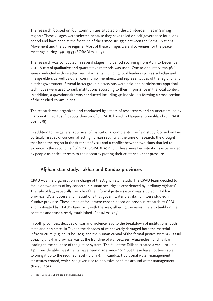The research focused on four communities situated on the clan-border lines in Sanaag region.<sup>6</sup> These villages were selected because they have relied on self-governance for a long period and have been at the frontline of the armed struggle between the Somali National Movement and the Barre regime. Most of these villages were also venues for the peace meetings during 1991-1993 (SORADI 2011: 9).

The research was conducted in several stages in a period spanning from April to December 2011. A mix of qualitative and quantitative methods was used. One-to-one interviews (60) were conducted with selected key informants including local leaders such as sub-clan and lineage elders as well as other community members, and representatives of the regional and district government. Several focus group discussions were held and participatory appraisal techniques were used to rank institutions according to their importance in the local context. In addition, a questionnaire was conducted including 40 individuals forming a cross section of the studied communities.

The research was organized and conducted by a team of researchers and enumerators led by Haroon Ahmed Yusuf, deputy director of SORADI, based in Hargeisa, Somaliland (SORADI 2011: 7/8).

In addition to the general appraisal of institutional complexity, the field study focused on two particular issues of concern affecting human security at the time of research: the drought that faced the region in the first half of 2011 and a conflict between two clans that led to violence in the second half of 2011 (SORADI 2011: 8). These were two situations experienced by people as critical threats to their security putting their existence under pressure.

# **Afghanistan study: Takhar and Kunduz provinces**

CPAU was the organisation in charge of the Afghanistan study. The CPAU team decided to focus on two areas of key concern in human security as experienced by 'ordinary Afghans'. The rule of law, especially the role of the informal justice system was studied in Takhar province. Water access and institutions that govern water distribution, were studied in Kunduz province. These areas of focus were chosen based on previous research by CPAU, and motivated by CPAU's familiarity with the area, allowing the researchers to build on the contacts and trust already established (Rassul 2012: 3).

In both provinces, decades of war and violence lead to the breakdown of institutions, both state and non-state. In Takhar, the decades of war severely damaged both the material infrastructure (e.g. court houses) and the human capital of the formal justice system (Rassul 2012: 17). Takhar province was at the frontline of war between Mujahedeen and Taliban, leading to the collapse of the justice system. The fall of the Taliban created a vacuum (ibid: 23). Considerable investments have been made since 2001 but these have not been able to bring it up to the required level (ibid: 17). In Kunduz, traditional water management structures eroded, which has given rise to pervasive conflicts around water management (Rassul 2012).

<sup>6</sup> Jidali, Carmaale, Shimbiraale and Dararweyne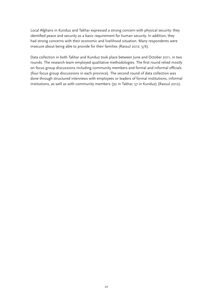Local Afghans in Kunduz and Takhar expressed a strong concern with physical security: they identified peace and security as a basic requirement for human security. In addition, they had strong concerns with their economic and livelihood situation. Many respondents were insecure about being able to provide for their families (Rassul 2012: 5/6).

Data collection in both Takhar and Kunduz took place between June and October 2011, in two rounds. The research team employed qualitative methodologies. The first round relied mostly on focus group discussions including community members and formal and informal officials (four focus group discussions in each province). The second round of data collection was done through structured interviews with employees or leaders of formal institutions, informal institutions, as well as with community members (30 in Takhar, 57 in Kunduz) (Rassul 2012).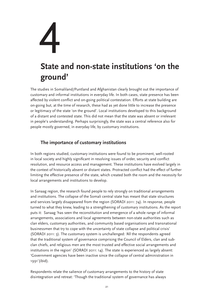# 4 **State and non-state institutions 'on the ground'**

The studies in Somaliland/Puntland and Afghanistan clearly brought out the importance of customary and informal institutions in everyday life. In both cases, state presence has been affected by violent conflict and on-going political contestation. Efforts at state building are on-going but, at the time of research, these had as yet done little to increase the presence or legitimacy of the state 'on the ground'. Local institutions developed to this background of a distant and contested state. This did not mean that the state was absent or irrelevant in people's understanding. Perhaps surprisingly, the state was a central reference also for people mostly governed, in everyday life, by customary institutions.

# **The importance of customary institutions**

In both regions studied, customary institutions were found to be prominent, well-rooted in local society and highly significant in resolving issues of order, security and conflict resolution, and resource access and management. These institutions have evolved largely in the context of historically absent or distant states. Protracted conflict had the effect of further limiting the effective presence of the state, which created both the room and the necessity for local arrangements and institutions to develop.

In Sanaag region, the research found people to rely strongly on traditional arrangements and institutions. The collapse of the Somali central state has meant that state structures and services largely disappeared from the region (SORADI 2011: 74). In response, people turned to what they knew, leading to a strengthening of customary institutions. As the report puts it: Sanaag 'has seen the reconstitution and emergence of a whole range of informal arrangements, associations and local agreements between non-state authorities such as clan elders, customary authorities, and community based organisations and transnational businessmen that try to cope with the uncertainty of state collapse and political crisis' (SORADI 2011: 3). The customary system is unchallenged: 'All the respondents agreed that the traditional system of governance comprising the Council of Elders, clan and subclan chiefs, and religious men are the most trusted and effective social arrangements and institutions in the region' (SORADI 2011: 14). The state is experienced as largely absent: 'Government agencies have been inactive since the collapse of central administration in 1991'(ibid).

Respondents relate the salience of customary arrangements to the history of state disintegration and retreat: 'Though the traditional system of governance has always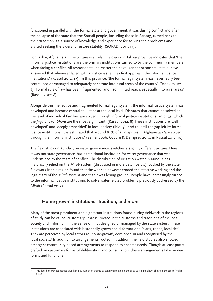functioned in parallel with the formal state and government, it was during conflict and after the collapse of the state that the Somali people, including those in Sanaag, turned back to their 'tradition' as a source of knowledge and experience for solving their problems and started seeking the Elders to restore stability' (SORADI 2011: 17).

For Takhar, Afghanistan, the picture is similar. Fieldwork in Takhar province indicates that 'the informal justice institutions are the primary institutions turned to by the community members when facing a conflict. All respondents, no matter their age, gender or societal status, have answered that whenever faced with a justice issue, they first approach the informal justice institutions' (Rassul 2012: 17). In this province, 'the formal legal system has never really been centralized or managed to adequately penetrate into rural areas of the country' (Rassul 2012: 7). Formal rule of law has been 'fragmented' and had 'limited reach, especially into rural areas' (Rassul 2012: 8).

Alongside this ineffective and fragmented formal legal system, the informal justice system has developed and become central to justice at the local level. Disputes that cannot be solved at the level of individual families are solved through informal justice institutions, amongst which the *Jirga* and/or *Shura* are the most significant. (Rassul 2012: 8) These institutions are 'well developed' and 'deeply embedded' in local society (ibid: 9), and thus fill the gap left by formal justice institutions. It is estimated that around 80% of all disputes in Afghanistan 'are solved through the informal institutions' (Senier 2006, Coburn & Dempsey 2010, in Rassul 2012: 10).

The field study on Kunduz, on water governance, sketches a slightly different picture. Here it was not state governance, but a traditional institution for water governance that was undermined by the years of conflict. The distribution of irrigation water in Kunduz has historically relied on the *Mirab* system (discussed in more detail below), backed by the state. Fieldwork in this region found that the war has however eroded the effective working and the legitimacy of the *Mirab* system and that it was losing ground. People have increasingly turned to the informal justice institutions to solve water-related problems previously addressed by the *Mirab* (Rassul 2012).

# **'Home-grown' institutions: Tradition, and more**

Many of the most prominent and significant institutions found during fieldwork in the regions of study can be called 'customary', that is, rooted in the customs and traditions of the local society and 'informal', in the sense of , not designed or managed by the state system. These institutions are associated with historically grown social formations (clans, tribes, localities). They are perceived by local actors as 'home-grown', developed in and recognised by the local society.<sup>7</sup> In addition to arrangements rooted in tradition, the field studies also showed emergent community-based arrangements to respond to specific needs. Though at least partly grafted on customary forms of deliberation and consultation, these arrangements take on new forms and functions.

This does however not exclude that they may have been shaped by state intervention in the past, as is quite clearly shown in the case of Afghanistan.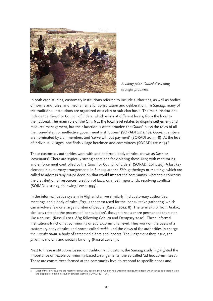

*A village/clan Guurti discussing drought problems.*

In both case studies, customary institutions referred to include authorities, as well as bodies of norms and rules, and mechanisms for consultation and deliberation. In Sanaag, many of the traditional institutions are organized on a clan or sub-clan basis. The main institutions include the *Guurti* or Council of Elders, which exists at different levels, from the local to the national. The main role of the *Guurti* at the local level relates to dispute settlement and resource management, but their function is often broader: the *Guurti* 'plays the roles of all the non-existent or ineffective government institutions' (SORADI 2011: 18). *Guurti* members are nominated by clan members and 'serve without payment' (SORADI 2011: 18). At the level of individual villages, one finds village headmen and committees (SORADI 2011: 19).8

These customary authorities work with and enforce a body of rules known as *Xeer*, or 'covenants'. There are 'typically strong sanctions for violating these *Xeer,* with monitoring and enforcement controlled by the *Guurti* or Council of Elders' (SORADI 2011: 40). A last key element in customary arrangements in Sanaag are the *Shir*, gatherings or meetings which are called to address 'any major decision that would impact the community, whether it concerns the distribution of resources, creation of laws, or, most importantly, resolving conflicts' (SORADI 2011: 23; following Lewis 1999).

In the informal justice system in Afghanistan we similarly find customary authorities, meetings and a body of rules. *Jirga* is the term used for the 'consultative gathering' which can involve a few or a large number of people (Rassul 2012: 8). The term *shura*, from Arabic, similarly refers to the process of 'consultation', though it has a more permanent character, like a council (Rassul 2012: 8/9; following Coburn and Dempsey 2010). These informal institutions function at community or supra-communal level. They work on the basis of a customary body of rules and norms called *narkh*, and the views of the authorities in charge, the *marakachian,* a body of esteemed elders and leaders. The judgement they issue, the *prikra*, is morally and socially binding (Rassul 2012: 9).

Next to these institutions based on tradition and custom, the Sanaag study highlighted the importance of flexible community-based arrangements, the so called 'ad hoc committees'. These are committees formed at the community level to respond to specific needs and

<sup>8</sup> Most of these institutions are mostly or exclusively open to men. Women hold weekly meetings, the Sitaad, which serves as a coordination and dispute resolution institution between women (SORADI 2011: 20).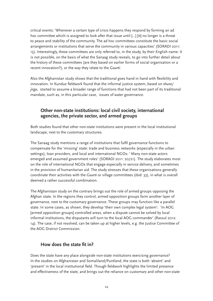critical events: 'Whenever a certain type of crisis happens they respond by forming an ad hoc committee which is assigned to look after that issue until […] [it] no longer is a threat to peace and stability of the community. The ad hoc committees constitute the basic social arrangements or institutions that serve the community in various capacities' (SORADI 2011: 15). Interestingly, these committees are only referred to, in the study, by their English name. It is not possible, on the basis of what the Sanaag study reveals, to go into further detail about the history of these committees (are they based on earlier forms of social organisation or a recent innovation?), or the way they relate to the *Guurti*.

Also the Afghanistan study shows that the traditional goes hand in hand with flexibility and innovation. In Kunduz fieldwork found that the informal justice system, based on *shura/ jirga*, started to assume a broader range of functions that had not been part of its traditional mandate, such as, in this particular case, issues of water governance.

# **Other non-state institutions: local civil society, international agencies, the private sector, and armed groups**

Both studies found that other non-state institutions were present in the local institutional landscape, next to the customary structures.

The Sanaag study mentions a range of institutions that fulfil governance functions to compensate for the 'missing' state: trade and business networks (especially in the urban settings), loan providers, and local and international NGOs: ' Many non-state actors emerged and assumed government roles' (SORADI 2011: 20/21). The study elaborates most on the role of international NGOs that engage especially in service delivery, and sometimes in the provision of humanitarian aid. The study stresses that these organisations generally coordinate their activities with the *Guurti* or village committees (ibid: 33), in what is overall deemed a rather successful combination.

The Afghanistan study on the contrary brings out the role of armed groups opposing the Afghan state. In the regions they control, armed opposition groups form another layer of governance, next to the customary governance. These groups may function like a parallel state. In some cases, as shown, they develop 'their own complex legal system': 'In AOG [armed opposition groups] controlled areas, when a dispute cannot be solved by local informal institutions, the disputants will turn to the local AOG commander' (Rassul 2012: 14). The case, if not resolved, can be taken up at higher levels, e.g. the Justice Committee of the AOG District Commission.

# **How does the state fit in?**

Does the state have any place alongside non-state institutions exercising governance? In the studies on Afghanistan and Somaliland/Puntland, the state is both 'absent' and 'present' in the local institutional field. Though fieldwork highlights the limited presence and effectiveness of the state, and brings out the reliance on customary and other non-state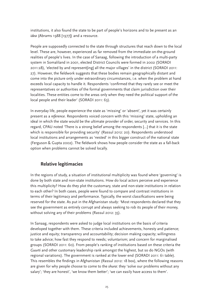institutions, it also found the state to be part of people's horizons and to be present as an *idea* (Abrams 1988 [1977]) and a resource.

People are supposedly connected to the state through structures that reach down to the local level. These are, however, experienced as far removed from the immediate on-the-ground realities of people's lives. In the case of Sanaag, following the introduction of a multi-party system in Somaliland in 2001, elected District Councils were formed in 2002 (SORADI 2011:28), 'elected by and represent[ing] all the major villages' in the district (SORADI 2011: 27). However, the fieldwork suggests that these bodies remain geographically distant and come into the picture only under extraordinary circumstances, i.e. when the problem at hand exceeds local capacity to handle it. Respondents 'confirmed that they rarely see or meet the representatives or authorities of the formal governments that claim jurisdiction over their localities. These entities come to the areas only when they need the political support of the local people and their leader' (SORADI 2011: 63).

In everyday life, people experience the state as 'missing' or 'absent', yet it was certainly present as a *reference*. Respondents voiced concern with this 'missing' state, upholding an ideal in which the state would be the ultimate provider of order, security and services. In this regard, CPAU noted 'There is a strong belief among the respondents […] that it is the state which is responsible for providing security' (Rassul 2012: 20). Respondents understood local institutions and arrangements as 'nested' in this bigger construct of the national state (Ferguson & Gupta 2002). The fieldwork shows how people consider the state as a fall-back option when problems cannot be solved locally.

# **Relative legitimacies**

In the regions of study, a situation of institutional multiplicity was found where 'governing' is done by both state and non-state institutions. How do local actors perceive and experience this multiplicity? How do they plot the customary, state and non-state institutions in relation to each other? In both cases, people were found to compare and contrast institutions in terms of their legitimacy and performance. Typically, the worst classifications were being reserved for the state. As put in the Afghanistan study: 'Most respondents declared that they see the government as entirely corrupt and always seeking to rob its people of their money, without solving any of their problems (Rassul 2012: 35).

In Sanaag, respondents were asked to judge local institutions on the basis of criteria developed together with them. These criteria included achievements, honesty and patience; justice and equity; transparency and accountability; decision making capacity; willingness to take advice; how fast they respond to needs; voluntarism; and concern for marginalised groups (SORADI 2011: 60). From people's ranking of institutions based on these criteria the *Guurti* and other customary leadership rank amongst the highest, but so do NGOs (with regional variations). The government is ranked at the lower end (SORADI 2011: 61 table). This resembles the findings in Afghanistan (Rassul 2012: 18 box), where the following reasons are given for why people choose to come to the *shura*: they 'solve our problems without any salary'; 'they are honest', 'we know them better'; 'we can easily have access to them'.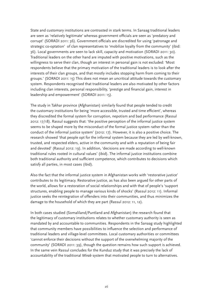State and customary institutions are contrasted in stark terms. In Sanaag traditional leaders are seen as 'relatively legitimate' whereas government officials are seen as 'predatory and corrupt' (SORADI 2011: 36). Government officials are discredited for using 'patronage and strategic co-optation' of clan representatives to 'mobilize loyalty from the community' (ibid: 36). Local governments are seen to lack skill, capacity and motivation (SORADI 2011: 30). Traditional leaders on the other hand are imputed with positive motivations, such as the willingness to serve their clan, though an interest in personal gain is not excluded: 'Most respondents believe that the primary motivation of the traditional leaders is to look after the interests of their clan groups, and that mostly includes stopping harm from coming to their groups.' (SORADI 2011: 15) This does not mean an uncritical attitude towards the customary system. Respondents recognised that traditional leaders are also motivated by other factors including clan interests, personal responsibility, 'prestige and financial gain, interest in leadership and empowerment' (SORADI 2011: 15).

The study in Takhar province (Afghanistan) similarly found that people tended to credit the customary institutions for being 'more accessible, trusted and time efficient', whereas they discredited the formal system for corruption, nepotism and bad performance (Rassul 2012: 17/18). Rassul suggests that: 'the positive perception of the informal justice system seems to be shaped more by the misconduct of the formal justice system rather than the conduct of the informal justice system' (2012: 17). However, it is also a positive choice. The research showed 'that people opt for the informal system because they are led by well-known, trusted, and respected elders, active in the community and with a reputation of being fair and devoted' (Rassul 2012: 19). In addition, 'decisions are made according to well-known traditional rules rooted in cultural values' (ibid). The informal justice institutions combine both traditional authority and sufficient competence, which contributes to decisions which satisfy all parties, in most cases (ibid).

Also the fact that the informal justice system in Afghanistan works with 'restorative justice' contributes to its legitimacy. Restorative justice, as has also been argued for other parts of the world, allows for a restoration of social relationships and with that of people's 'support structures, enabling people to manage various kinds of shocks' (Rassul 2012: 11). Informal justice seeks the reintegration of offenders into their communities, and thus minimizes the damage to the household of which they are part (Rassul 2012: 11, 12).

In both cases studied (Somaliland/Puntland and Afghanistan) the research found that the legitimacy of customary institutions relates to whether customary authority is seen as mandated by and accountable to communities. Respondents in the Sanaag study highlighted that community members have possibilities to influence the selection and performance of traditional leaders and village-level committees. Local customary authorities or committees 'cannot enforce their decisions without the support of the overwhelming majority of the community' (SORADI 2011: 39), though the question remains how such support is achieved. In the same vein Rassul concludes for the Kunduz study that it was precisely the lack of accountability of the traditional *Mirab* system that motivated people to turn to alternatives.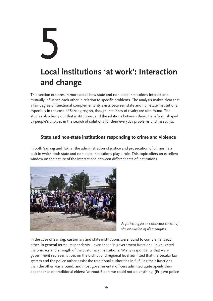# 5 **Local institutions 'at work': Interaction and change**

This section explores in more detail how state and non-state institutions interact and mutually influence each other in relation to specific problems. The analysis makes clear that a fair degree of functional complementarity exists between state and non-state institutions, especially in the case of Sanaag region, though instances of rivalry are also found. The studies also bring out that institutions, and the relations between them, transform, shaped by people's choices in the search of solutions for their everyday problems and insecurity.

# **State and non-state institutions responding to crime and violence**

In both Sanaag and Takhar the administration of justice and prosecution of crimes, is a task in which both state and non-state institutions play a role. This topic offers an excellent window on the nature of the interactions between different sets of institutions.



*A gathering for the announcement of the resolution of clan-conflict.*

In the case of Sanaag, customary and state institutions were found to complement each other. In general terms, respondents – even those in government functions - highlighted the primacy and strength of the customary institutions: 'Many respondents that were government representatives on the district and regional level admitted that the secular law system and the police rather assist the traditional authorities in fulfilling their functions than the other way around; and most governmental officers admitted quite openly their dependence on traditional elders: 'without Elders we could not do anything' (Erigavo police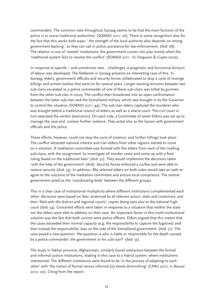commander). The common view throughout Sanaag seems to be that the main function of the police is to assist traditional authorities' (SORADI 2011: 26). There is some recognition also for the fact that this works both ways: ' the strength of the local authority also depends on strong government backing', as they can call in police assistance for law enforcement. (ibid: 68). The relation is one of 'nested' institutions: the government comes into play mostly when the 'traditional system fails to resolve the conflict' (SORADI 2011: 16; Ferguson & Gupta 2002).

In response to specific – and sometimes new - challenges, a pragmatic and functional division of labour was developed. The fieldwork in Sanaag presents an interesting case of this. In Sanaag, elders, government officials and security forces collaborated to stop a cycle of revenge killings and armed clashes that went on for several years. Longer existing tensions between two sub-clans escalated as a police commander of one of these sub-clans was killed by gunmen from the other sub-clan in 2009. The conflict then broadened into an open confrontation between the latter sub-clan and the Somaliland military, which was brought in by the Governor to control the situation (SORADI 2011: 44). The sub-clan elders captured the murderer who was brought before a traditional council of elders as well as a sharia court. The civil court in turn executed the verdict (execution). On each side, a Committee of seven Elders was set up to manage the case and contain further violence. They acted also as the liaison with government officials and the police.

These efforts, however, could not stop the cycle of violence, and further killings took place. The conflict attracted national interest and clan elders from other regions started to insist on a solution. A mediation committee was formed with five elders from each of the rivalling sub-clans, with the assignment 'to investigate all murder cases and come up with a final ruling based on the traditional Xeer' (ibid: 52). They would implement the decisions taken 'with the help of the government' (ibid). Security forces enforced a curfew and were able to restore security (ibid: 53). In addition, fifty selected elders on both sides would take an oath to agree to the outcome of the mediation committee and ensure local compliance. The central government acted as the 'coordinating body' between the different groups.

This is a clear case of institutional multiplicity where different institutions complemented each other: decisions were based on *Xeer*, endorsed by all relevant actors, state and customary, and then 'filed with the district and regional courts', copies being sent also to the national high court (ibid: 54). Concerted efforts were taken in response to a situation that neither the state nor the elders were able to address on their own. An important factor in this multi-institutional solution was the fact that both victims were police officers. Elders argued that this meant that the cases exceeded their normal capacity (e.g. the responsibility to capture the fugitives) and that instead the responsibility 'was on the side of the Somaliland government' (ibid: 51). The case posed a new question: 'the question is who is liable or responsible for the death caused by a police commander; the government or his sub-clan?' (ibid: 55).

The study in Takhar province, Afghanistan, similarly found interaction between the formal and informal justice institutions, leading in this case to a hybrid system, where institutions intertwined. The different institutions were found to be 'in the process of adapting to each other' with 'the notion of formal versus informal [is] slowly diminishing' (CPAU 2012, in Rassul 2012: 20). Citing from the report: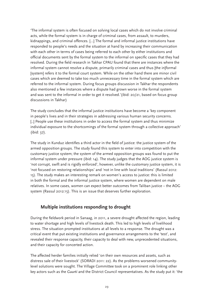'The informal system is often focused on solving local cases which do not involve criminal acts, while the formal system is in charge of criminal cases, from assault, to murders, kidnappings, and criminal offences. […] The formal and informal justice institutions have responded to people's needs and the situation at hand by increasing their communication with each other in terms of cases being referred to each other by either institutions and official documents sent by the formal system to the informal on specific cases that they had resolved. During the field research in Takhar CPAU found that there are instances where the informal system cannot resolve a dispute, primarily criminal cases and thus [the in]formal [system] refers it to the formal court system. While on the other hand there are minor civil cases which are deemed to take too much unnecessary time in the formal system which are referred to the informal system. During focus groups discussion in Takhar the respondents also mentioned a few instances where a dispute had grown worse in the formal system and was sent to the informal in order to get it resolved.'(ibid: 20/21, based on focus group discussions in Takhar)

The study concludes that the informal justice institutions have become a 'key component in people's lives and in their strategies in addressing various human security concerns. [..] People use these institutions in order to access the formal system and thus minimize individual exposure to the shortcomings of the formal system through a collective approach' (ibid: 37).

The study in Kunduz identifies a third actor in the field of justice: the justice system of the armed opposition groups. The study found this system to enter into competition with the customary justice system; the system of the armed opposition groups was found to put the informal system under pressure (ibid: 14). The study judges that the AOG justice system is 'not corrupt, swift and is rigidly enforced', however, unlike the customary justice system, it is 'not focused on restoring relationships' and 'not in line with local traditions' (Rassul 2012: 15). The study makes an interesting remark on women's access to justice: this is limited in both the formal and the informal justice system, where women are dependent on male relatives. In some cases, women can expect better outcomes from Taliban justice – the AOG system (Rassul 2012:15). This is an issue that deserves further exploration.

### **Multiple institutions responding to drought**

During the fieldwork period in Sanaag, in 2011, a severe drought affected the region, leading to water shortage and high levels of livestock death. This led to high levels of livelihood stress. The situation prompted institutions at all levels to a response. The drought was a critical event that put existing institutions and governance arrangements to the 'test', and revealed their response capacity, their capacity to deal with new, unprecedented situations, and their capacity for concerted action.

The affected herder families initially relied 'on their own resources and assets, such as distress sale of their livestock' (SORADI 2011: 22). As the problems worsened communitylevel solutions were sought. The Village Committee took on a prominent role linking other key actors such as the *Guurti* and the District Council representatives. As the study put it: 'the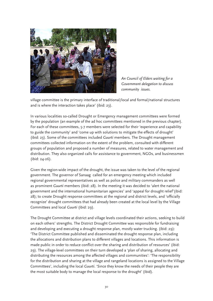

*An Council of Elders waiting for a Government delegation to discuss community issues.* 

village committee is the primary interface of traditional/local and formal/national structures and is where the interaction takes place' (ibid: 23).

In various localities so-called Drought or Emergency management committees were formed by the population (an example of the ad hoc committees mentioned in the previous chapter). For each of these committees, 5-7 members were selected for their 'experience and capability to guide the community' and 'come up with solutions to mitigate the effects of drought' (ibid: 23). Some of the committees included *Guurti* members. The Drought management committees collected information on the extent of the problem, consulted with different groups of population and proposed a number of measures, related to water management and distribution. They also organized calls for assistance to government, NGOs, and businessmen (ibid: 24-26).

Given the region-wide impact of the drought, the issue was taken to the level of the regional government. The governor of Sanaag called for an emergency meeting which included regional governmental representatives as well as police and military commanders as well as prominent *Guurti* members (ibid: 28). In the meeting it was decided to 'alert the national government and the international humanitarian agencies' and 'appeal for drought relief'(ibid: 28); to create Drought response committees at the regional and district levels, and 'officially recognize' drought committees that had already been created at the local level by the Village Committees and local *Guurti* (ibid: 29).

The Drought Committee at district and village levels coordinated their actions, seeking to build on each others' strengths. The District Drought Committee was responsible for fundraising and developing and executing a drought response plan, mostly water trucking. (ibid: 29): 'The District Committee published and disseminated the drought response plan, including the allocations and distribution plans to different villages and locations. This information is made public in order to reduce conflict over the sharing and distribution of resources' (ibid: 29). The village-level committees on their turn developed a 'plan of sharing, allocating and distributing the resources among the affected villages and communities': 'The responsibility for the distribution and sharing at the village and rangeland locations is assigned to the Village Committees', including the local *Guurti*. 'Since they know the needs of their people they are the most suitable body to manage the local response to the drought' (ibid).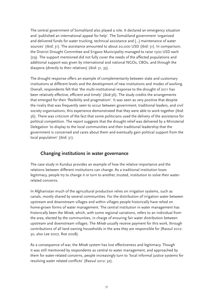The central government of Somaliland also played a role. It declared an emergency situation and 'published an international appeal for help'. The Somaliland government 'organized and delivered funds for water trucking, technical assistance and […] maintenance of water sources' (ibid: 31). The assistance amounted to about 20,000 USD (ibid: 31). In comparison, the District Drought Committee and Erigavo Municipality managed to raise 1500 USD each (29). The support mentioned did not fully cover the needs of the affected populations and additional support was given by international and national NGOs, CBOs, and through the diaspora (directly to their relatives) (ibid: 31, 35).

The drought response offers an example of complementarity between state and customary institutions at different levels and the development of new institutions and modes of working. Overall, respondents felt that 'the multi-institutional response to the drought of 2011 has been relatively effective, efficient and timely' (ibid:36). The study credits the arrangements that emerged for their 'flexibility and pragmatism'. It was seen as very positive that despite the rivalry that was frequently seen to occur between government, traditional leaders, and civil society organisations, this experience demonstrated that they were able to work together (ibid: 36). There was criticism of the fact that some politicians used the delivery of the assistance for political competition. The report suggests that the drought relief was delivered by a Ministerial Delegation 'to display to the local communities and their traditional leadership that the government is concerned and cares about them and eventually gain political support from the local population' (ibid: 31).

# **Changing institutions in water governance**

The case study in Kunduz provides an example of how the relative importance and the relations between different institutions can change. As a traditional institution loses legitimacy, people try to change it or turn to another, trusted, institution to solve their waterrelated concerns.

In Afghanistan much of the agricultural production relies on irrigation systems, such as canals, mostly shared by several communities. For the distribution of irrigation water between upstream and downstream villages and within villages people historically have relied on home-grown forms of water management. The central institution in water management has historically been the *Mirab*, which, with some regional variations, refers to an individual from the area, elected by the communities, in charge of ensuring fair water distribution between upstream and downstream villages. The *Mirab* usually receive payment for this work, through contributions of all land owning households in the area they are responsible for (Rassul 2012: 30, also Lee 2007, Roe 2008).

As a consequence of war, the *Mirab* system has lost effectiveness and legitimacy. Though it was still mentioned by respondents as central to water management, and approached by them for water-related concerns, people increasingly turn to 'local informal justice systems for resolving water related conflicts' (Rassul 2012: 32).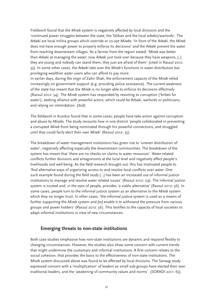Fieldwork found that the *Mirab* system is negatively affected by local divisions and the 'continued power struggles between the state, the Taliban and the local *arbakis*/warlords'. The *Arbaki* are local militia groups which override or co-opt *Mirabs*: 'In front of the *Arbaki*, the *Mirab* does not have enough power to properly enforce its decisions' and the *Arbaki* prevent the water from reaching downstream villages. As a farmer from the region stated: '*Mirab* was better than *Arbaki* at managing the water; now *Arbaki* just took over because they have weapons, [..] they are young and nobody can stand them, they just are afraid of them' (cited in Rassul 2012: 33). In some other cases, the *Arbaki* take over the *Mirab's* functions in water distribution but privileging wealthier water users who can afford to pay more.

In earlier days, during the reign of Zahir Shah, the enforcement capacity of the *Mirab* relied increasingly on government support (e.g. providing police assistance). The current weakness of the state has meant that the *Mirab* is no longer able to enforce its decisions effectively (Rassul 2012: 34). The *Mirab* system has responded by resorting to corruption ('bribes for water'), seeking alliance with powerful actors, which could be Arbaki, warlords or politicians, and relying on intimidation. (ibid)

The fieldwork in Kunduz found that in some cases, people have take action against corruption and abuse by *Mirabs*. The study recounts how in one district 'people collaborated in preventing a corrupted *Mirab* from being nominated through his powerful connections, and struggled until they could fairly elect their own *Mirab*' (Rassul 2012: 35).

The breakdown of water management institutions has given rise to 'uneven distribution of water', negatively affecting especially the downstream communities. The breakdown of the system has meant that 'there are no checks on claims to water resources'. Water-related conflicts further divisions and antagonisms at the local level and negatively affect people's livelihoods and well-being. As the field research brought out: this has motivated people to 'find alternative ways of organizing access to and resolve local conflicts over water. One such example found during the field study […] has been an increased use of informal justice institutions to manage and resolve water related issues' (Rassul 2012: 29). The informal justice system is trusted and, in the eyes of people, provides 'a viable alternative' (Rassul 2012: 36). In some cases, people turn to the informal justice system as an alternative to the *Mirab* system which they no longer trust. In other cases, 'the informal justice system is used as a means of further supporting the *Mirab* system and [to] enable it to withstand the pressure from various groups and power holders' (Rassul 2012: 36). This testifies to the capacity of local societies to adapt informal institutions in view of new circumstances.

### **Emerging threats to non-state institutions**

Both case studies emphasise how non-state institutions are dynamic and respond flexibly to changing circumstances. However, the studies also show some concern with current trends that might undermine the customary and informal institutions. A first concern relates to the social cohesion, that provides the basis to the effectiveness of non-state institutions. The *Mirab* system discussed above was found to be affected by local divisions. The Sanaag study expressed concern with a 'multiplication' of leaders as small sub-groups have elected their own traditional leaders, and the 'weakening of community values and norms' (SORADI 2011: 65).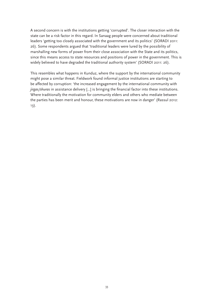A second concern is with the institutions getting 'corrupted'. The closer interaction with the state can be a risk factor in this regard. In Sanaag people were concerned about traditional leaders 'getting too closely associated with the government and its politics' (SORADI 2011: 26). Some respondents argued that 'traditional leaders were lured by the possibility of marshalling new forms of power from their close association with the State and its politics, since this means access to state resources and positions of power in the government. This is widely believed to have degraded the traditional authority system' (SORADI 2011: 26).

This resembles what happens in Kunduz, where the support by the international community might pose a similar threat. Fieldwork found informal justice institutions are starting to be affected by corruption: 'the increased engagement by the international community with *jirgas/shuras* in assistance delivery […] is bringing the financial factor into these institutions. Where traditionally the motivation for community elders and others who mediate between the parties has been merit and honour, these motivations are now in danger' (Rassul 2012: 13).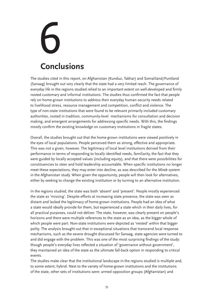# 6 **Conclusions**

The studies cited in this report, on Afghanistan (Kunduz, Takhar) and Somaliland/Puntland (Sanaag) brought out very clearly that the state had a very limited reach. The governance of everyday life in the regions studied relied to an important extent on well-developed and firmly rooted customary and informal institutions. The studies thus confirmed the fact that people rely on home-grown institutions to address their everyday human security needs related to livelihood stress, resource management and competition, conflict and violence. The type of non-state institutions that were found to be relevant primarily included customary authorities, rooted in tradition, community-level mechanisms for consultation and decision making, and emergent arrangements for addressing specific needs. With this, the findings mostly confirm the existing knowledge on customary institutions in fragile states.

Overall, the studies brought out that the home-grown institutions were viewed positively in the eyes of local populations. People perceived them as strong, effective and appropriate. This was not a given, however. The legitimacy of local level institutions derived from their performance in terms of responding to locally identified needs, familiarity, the fact that they were guided by locally accepted values (including equity), and that there were possibilities for constituencies to steer and hold leadership accountable. When specific institutions no longer meet these expectations, they may enter into decline, as was described for the *Mirab* system in the Afghanistan study. When given the opportunity, people will then look for alternatives, either by seeking to change the existing institution or by turning to an alternative institution.

In the regions studied, the state was both 'absent' and 'present'. People mostly experienced the state as 'missing'. Despite efforts at increasing state presence, the state was seen as distant and lacked the legitimacy of home-grown institutions. People had an idea of what a state would ideally provide for them, but experienced a state which in their daily lives, for all practical purposes, could not deliver. The state, however, was clearly present on people's horizons and there were multiple references to the state as an idea, as the bigger whole of which people were part. Non-state institutions were depicted as 'nested' within that bigger polity. The analysis brought out that in exceptional situations that transcend local response mechanisms, such as the severe drought discussed for Sanaag, state agencies were turned to and did engage with the problem. This was one of the most surprising findings of the study: though people's everyday lives reflected a situation of 'governance without government', they maintained an idea of the state as the ultimate fall-back option in responding to critical events.

The studies make clear that the institutional landscape in the regions studied is multiple and, to some extent, hybrid. Next to the variety of home-grown institutions and the institutions of the state, other sets of institutions were: armed opposition groups (Afghanistan) and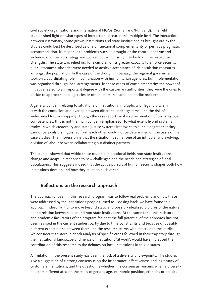civil society organisations and international NGOs (Somaliland/Puntland). The field studies shed light on what types of interactions occur in this multiple field. The interaction between customary/home-grown institutions and state institutions as brought out by the studies could best be described as one of functional complementarity or perhaps pragmatic accommodation. In response to problems such as drought or the control of crime and violence, a concerted strategy was worked out which sought to build on the respective strengths. The state was relied on, for example, for its greater capacity to enforce security, but customary authorities were needed to achieve acceptance of de-escalation measures amongst the population. In the case of the drought in Sanaag, the regional government took on a coordinating role, in conjunction with humanitarian agencies, but implementation was organised through local arrangements. In these cases of complementarity, the power of initiative rested to an important degree with the customary authorities: they were the ones to decide to approach state agencies or other actors in search of specific problems.

A general concern relating to situations of institutional multiplicity or legal pluralism is with the confusion and overlap between different justice systems, and the risk of widespread forum shopping. Though the case reports make some mention of unclarity over competencies, this is not the main concern emphasised. To what extent hybrid systems evolve in which customary and state justice systems intertwine to such a degree that they cannot be easily distinguished from each other, could not be determined on the basis of the case studies. The impression is that the situation is rather one of an intricate, and evolving, division of labour between collaborating but distinct partners.

The studies showed that within these multiple institutional fields non-state institutions change and adapt, in response to new challenges and the needs and strategies of local populations. This suggests indeed that the active pursuit of human security shapes both how institutions develop and how they relate to each other.

### **Reflections on the research approach**

The approach chosen in this research program was to follow real problems and how these were addressed by the institutions people turned to. Looking back, we have found this approach indeed fruitful to move beyond static and possibly idealised pictures of the nature of and relation between state and non-state institutions. At the same time, the initiators and academic facilitators of the program feel that the full potential of the approach has not been realised in the current studies, partly due to time constraints and because of possibly different expectations between them and the research teams who effectuated the studies. We consider that more in-depth analysis of specific cases followed in their trajectory through the institutional landscape and hence of institutions 'at work', would have increased the contribution of this research to the debates on local institutions in fragile states.

A limitation in the present study has been the lack of a diversity of viewpoints. The studies give a suggestion of a strong consensus on the importance, effectiveness and legitimacy of customary institutions, and the question is whether this consensus remains when a diversity of actors differentiated on the basis of gender, age, economic position, ethnicity or political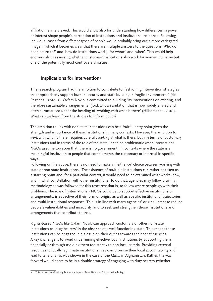affiliation is interviewed. This would allow also for understanding how differences in power or interest shape people's perception of institutions and institutional response. Following individual cases from different types of people would probably bring out a more variegated image in which it becomes clear that there are multiple answers to the questions 'Who do people turn to?' and 'how do institutions work', 'for whom' and 'when'. This would help enormously in assessing whether customary institutions also work for women, to name but one of the potentially most controversial issues.

# **Implications for intervention**<sup>9</sup>

This research program had the ambition to contribute to 'fashioning intervention strategies that appropriately support human security and state building in fragile environments' (de Regt et al, 2010: 2). Oxfam Novib is committed to building 'its interventions on existing, and therefore sustainable arrangements' (ibid: 23), an ambition that is now widely shared and often summarised under the heading of 'working with what is there' (Hilhorst et al 2010). What can we learn from the studies to inform policy?

The ambition to link with non-state institutions can be a fruitful entry point given the strength and importance of these institutions in many contexts. However, the ambition to *work* with what is there, requires carefully *looking* at what is there, both in terms of customary institutions and in terms of the role of the state. It can be problematic when international NGOs assume too soon that 'there is no government', in contexts where the state is a meaningful institution to people that complements the customary or informal in specific ways.

Following on the above: there is no need to make an 'either-or' choice between working with state or non-state institutions. The existence of multiple institutions can rather be taken as a starting point and, for a particular context, it would need to be examined what works, how, and in what constellation with other institutions. To do that, agencies may follow a similar methodology as was followed for this research: that is, to follow where people go with their problems. The role of (international) NGOs could be to support effective institutions or arrangements, irrespective of their form or origin, as well as specific institutional trajectories and multi-institutional responses. This is in line with many agencies' original intent to reduce people's vulnerabilities and insecurity, and to seek and strengthen those institutions and arrangements that contribute to that.

Rights-based NGOs like Oxfam Novib can approach customary or other non-state institutions as 'duty-bearers' in the absence of a well-functioning state. This means these institutions can be engaged in dialogue on their duties towards their constituencies. A key challenge is to avoid undermining effective local institutions by supporting them financially or through molding them too strictly to non-local criteria. Providing external resources to locally legitimate institutions may compromise their local accountability and lead to tensions, as was shown in the case of the *Mirab* in Afghanistan. Rather, the way forward would seem to be in a double strategy of engaging with duty bearers (whether

This section benefitted highly from the input of Anne Pieter van Dijk and Wim de Regt.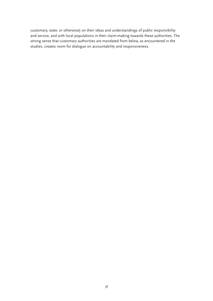customary, state, or otherwise) on their ideas and understandings of public responsibility and service, and with local populations in their claim-making towards these authorities. The strong sense that customary authorities are mandated from below, as encountered in the studies, creates room for dialogue on accountability and responsiveness.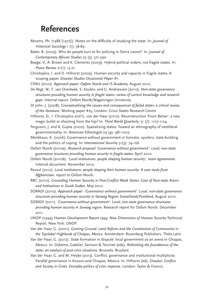# **References**

- Abrams, Ph. (1988 {1977}). Notes on the difficulty of studying the state. In: *Journal of Historical Sociology* 1 (1): 58-89.
- Baker, B. (2005). Who do people turn to for policing in Sierra Leone?. In: *Journal of Contemporary African Studies* 23 (3): 371-390.
- Boege, V., A. Brown and K. Clements (2009). Hybrid political orders, not fragile states. In: *Peace Review* 21(1): 13-21.
- Christoplos, I. and D. Hilhorst (2009). Human security and capacity in fragile states; A scoping paper. *Disaster Studies Occasional Paper #1.*
- CPAU (2010). *Approach paper: Oxfam Novib and IS Academy.* August 2010.
- De Regt, W., F. van Overbeek, S. Koulen, and G. Andriessen (2010). *Non-state governance structures providing human security in fragile states: review of current knowledge and research gaps.* Internal report. Oxfam Novib/Wageningen University.
- Di John, J. (2008). *Conceptualising the causes and consequences of failed states: a critical review of the literature.* Working paper #25, London: Crisis States Research Centre
- Hilhorst, D., I. Christoplos and G. van der Haar (2010). Reconstruction 'From Below': a new magic bullet or shooting from the hip? In: *Third World Quarterly*, 31 (7): 1107-1124.
- Ferguson, J. and A. Gupta (2002). Spatialising states: Toward an ethnography of neoliberal governmentality. In: *American Ethnologist* 29 (4): 981-1002.
- Menkhaus, K. (2006). Governance without government in Somalia: spoilers, state-building and the politics of coping. In: *International Security* 31(3): 74-106
- Oxfam Novib (2010a). *Research proposal 'Governance without government': Local, non-state governance structures providing human security in fragile states.* April 2010.
- Oxfam Novib (2010b). *'Local institutions: people shaping human security', main agreements.* Internal document. November 2010.
- Rassul (2012). *Local institutions: people shaping their human security: A case study from Afghanistan*. report to Oxfam Novib.
- RBC (2010). *Grounding Human Security in Post-Conflict Weak States: Case of Non-state Actors and Institutions in South Sudan*. May 2010.

SORADI (2010). *Approach paper: 'Governance without government': Local, non-state governance structures providing human security in Sanaag Region Somaliland/Puntland*, August 2010.

SORADI (2011). *'Governance without government': Local, non-state governance structures providing human security in Sanaag region*. Research report for Oxfam Novib. December 2011.

UNDP (1994) *Human Development Report 1994: New Dimensions of Human Security* Technical Report. New York: UNDP.

Van der Haar, G. (2001). *Gaining Ground: Land Reform and the Constitution of Community in the Tojolabal Highlands of Chiapas, Mexico*. Amsterdam: Rozenberg Publishers. Thela Latin

- Van der Haar, G. (2012). State formation in dispute: local government as an arena in Chiapas, Mexico. In: Dijkema, Gatelier, Samson & Tercinet (eds), *Rethinking the foundations of the state, an analysis of post-crisis situations*. Brussels: Bruylant.
- Van der Haar, G. and M. Heijke (2013). Conflict, governance and institutional multiplicity: Parallel governance in Kosovo and Chiapas, Mexico. In: Hilhorst (ed), *Disaster, Conflict and Society in Crises: Everyday politics of crisis response.* London: Taylor & Francis.